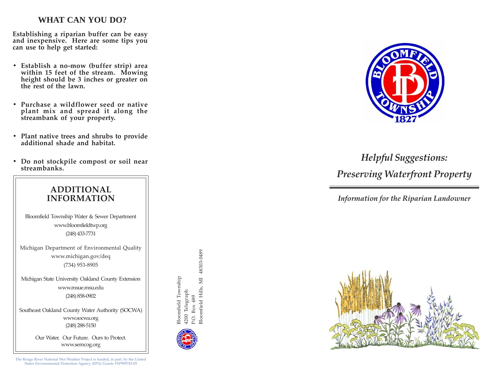### **WHAT CAN YOU DO?**

**Establishing a riparian buffer can be easy and inexpensive. Here are some tips you can use to help get started:**

- **Establish a no-mow (buffer strip) area within 15 feet of the stream. Mowing height should be 3 inches or greater on the rest of the lawn.**
- **Purchase a wildflower seed or native plant mix and spread it along the streambank of your property.**
- **Plant native trees and shrubs to provide additional shade and habitat.**
- **Do not stockpile compost or soil near streambanks.**



Southeast Oakland County Water Authority (SOCWA)

Our Water. Our Future. Ours to Protect. www.semcog.org

The Rouge River National Wet Weather Project is funded, in part, by the United States Environmental Protection Agency (EPA) Grants #XP995743-05





# *Helpful Suggestions: Preserving Waterfront Property*

*Information for the Riparian Landowner*